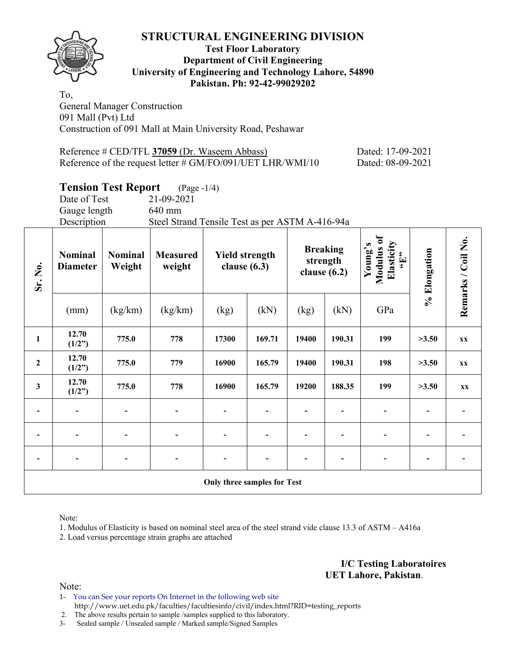

## **Test Floor Laboratory Department of Civil Engineering University of Engineering and Technology Lahore, 54890 Pakistan. Ph: 92-42-99029202**

To, General Manager Construction 091 Mall (Pvt) Ltd Construction of 091 Mall at Main University Road, Peshawar

| Reference # CED/TFL 37059 (Dr. Waseem Abbass)                 | Dated: 17-09-2021 |
|---------------------------------------------------------------|-------------------|
| Reference of the request letter $\#$ GM/FO/091/UET LHR/WMI/10 | Dated: 08-09-2021 |

# **Tension Test Report** (Page -1/4)

|                          | Date of Test<br>Gauge length<br>Description |                          | 21-09-2021<br>640 mm<br>Steel Strand Tensile Test as per ASTM A-416-94a |                                                                                          |        |       |                                                     |              |                    |           |  |  |
|--------------------------|---------------------------------------------|--------------------------|-------------------------------------------------------------------------|------------------------------------------------------------------------------------------|--------|-------|-----------------------------------------------------|--------------|--------------------|-----------|--|--|
| Sr. No.                  | <b>Nominal</b><br><b>Diameter</b>           | <b>Nominal</b><br>Weight | <b>Measured</b><br>weight                                               | <b>Breaking</b><br><b>Yield strength</b><br>strength<br>clause $(6.3)$<br>clause $(6.2)$ |        |       | Young's<br>Modulus of<br>Elasticity<br>"Elasticity" | % Elongation | Remarks / Coil No. |           |  |  |
|                          | (mm)                                        | (kg/km)                  | (kg/km)                                                                 | (kg)                                                                                     | (kN)   | (kg)  | (kN)                                                | GPa          |                    |           |  |  |
| $\mathbf{1}$             | 12.70<br>(1/2")                             | 775.0                    | 778                                                                     | 17300                                                                                    | 169.71 | 19400 | 190.31                                              | 199          | >3.50              | <b>XX</b> |  |  |
| $\overline{2}$           | 12.70<br>(1/2")                             | 775.0                    | 779                                                                     | 16900                                                                                    | 165.79 | 19400 | 190.31                                              | 198          | >3.50              | <b>XX</b> |  |  |
| $\mathbf{3}$             | 12.70<br>(1/2")                             | 775.0                    | 778                                                                     | 16900                                                                                    | 165.79 | 19200 | 188.35                                              | 199          | >3.50              | XX        |  |  |
| $\blacksquare$           |                                             |                          |                                                                         |                                                                                          |        |       |                                                     |              |                    |           |  |  |
| $\overline{\phantom{a}}$ |                                             |                          |                                                                         |                                                                                          |        |       |                                                     |              |                    |           |  |  |
|                          |                                             |                          |                                                                         |                                                                                          |        |       |                                                     |              |                    |           |  |  |
|                          |                                             |                          |                                                                         | Only three samples for Test                                                              |        |       |                                                     |              |                    |           |  |  |

Note:

1. Modulus of Elasticity is based on nominal steel area of the steel strand vide clause 13.3 of ASTM – A416a

2. Load versus percentage strain graphs are attached

**I/C Testing Laboratoires UET Lahore, Pakistan**.

Note:

1- You can See your reports On Internet in the following web site http://www.uet.edu.pk/faculties/facultiesinfo/civil/index.html?RID=testing\_reports

2. The above results pertain to sample /samples supplied to this laboratory.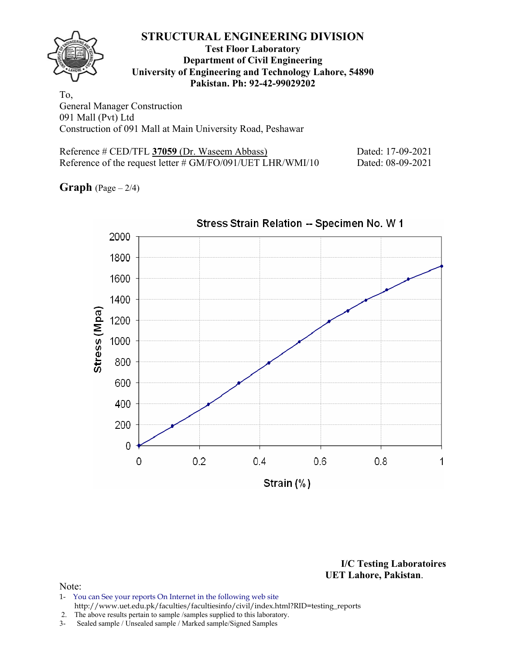

## **Test Floor Laboratory Department of Civil Engineering University of Engineering and Technology Lahore, 54890 Pakistan. Ph: 92-42-99029202**

To, General Manager Construction 091 Mall (Pvt) Ltd Construction of 091 Mall at Main University Road, Peshawar

| Reference # CED/TFL 37059 (Dr. Waseem Abbass)                  | Dated: 17-09-2021 |
|----------------------------------------------------------------|-------------------|
| Reference of the request letter $\# G M/FO/091/UET LHR/WMI/10$ | Dated: 08-09-2021 |

**Graph**  $(Page - 2/4)$ 



Stress Strain Relation -- Specimen No. W 1

**I/C Testing Laboratoires UET Lahore, Pakistan**.

- 1- You can See your reports On Internet in the following web site http://www.uet.edu.pk/faculties/facultiesinfo/civil/index.html?RID=testing\_reports
- 2. The above results pertain to sample / samples supplied to this laboratory.<br>3- Sealed sample / Unsealed sample / Marked sample/Signed Samples
- Sealed sample / Unsealed sample / Marked sample/Signed Samples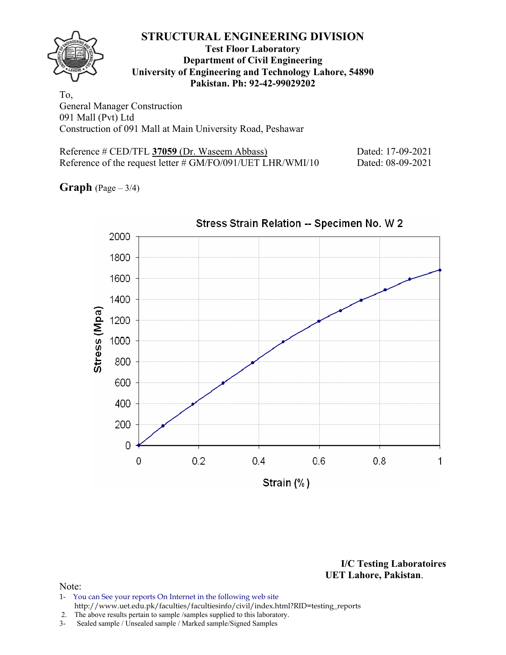

## **Test Floor Laboratory Department of Civil Engineering University of Engineering and Technology Lahore, 54890 Pakistan. Ph: 92-42-99029202**

To, General Manager Construction 091 Mall (Pvt) Ltd Construction of 091 Mall at Main University Road, Peshawar

| Reference # CED/TFL 37059 (Dr. Waseem Abbass)                  | Dated: 17-09-2021 |
|----------------------------------------------------------------|-------------------|
| Reference of the request letter $\# G M/FO/091/UET LHR/WMI/10$ | Dated: 08-09-2021 |

**Graph** (Page – 3/4)



Stress Strain Relation -- Specimen No. W 2

**I/C Testing Laboratoires UET Lahore, Pakistan**.

#### Note:

1- You can See your reports On Internet in the following web site http://www.uet.edu.pk/faculties/facultiesinfo/civil/index.html?RID=testing\_reports

2. The above results pertain to sample / samples supplied to this laboratory.<br>3- Sealed sample / Unsealed sample / Marked sample/Signed Samples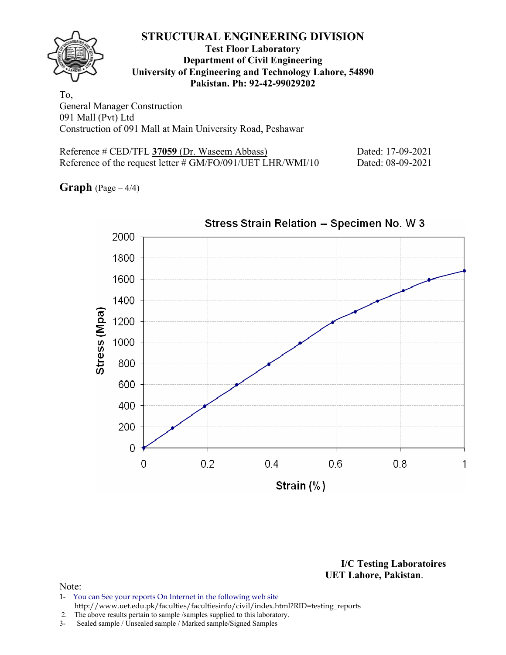

## **Test Floor Laboratory Department of Civil Engineering University of Engineering and Technology Lahore, 54890 Pakistan. Ph: 92-42-99029202**

To, General Manager Construction 091 Mall (Pvt) Ltd Construction of 091 Mall at Main University Road, Peshawar

| Reference # CED/TFL 37059 (Dr. Waseem Abbass)                  | Dated: 17-09-2021 |
|----------------------------------------------------------------|-------------------|
| Reference of the request letter $\# G M/FO/091/UET LHR/WMI/10$ | Dated: 08-09-2021 |

**Graph** (Page – 4/4)



**I/C Testing Laboratoires UET Lahore, Pakistan**.

- 1- You can See your reports On Internet in the following web site http://www.uet.edu.pk/faculties/facultiesinfo/civil/index.html?RID=testing\_reports
- 2. The above results pertain to sample /samples supplied to this laboratory.
- 3- Sealed sample / Unsealed sample / Marked sample/Signed Samples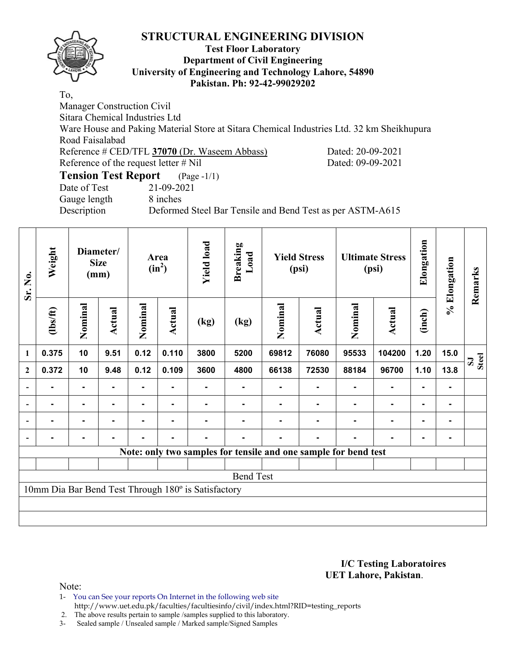

## **Test Floor Laboratory Department of Civil Engineering University of Engineering and Technology Lahore, 54890 Pakistan. Ph: 92-42-99029202**

To, Manager Construction Civil Sitara Chemical Industries Ltd Ware House and Paking Material Store at Sitara Chemical Industries Ltd. 32 km Sheikhupura Road Faisalabad Reference # CED/TFL **37070** (Dr. Waseem Abbass) Dated: 20-09-2021 Reference of the request letter # Nil Dated: 09-09-2021 **Tension Test Report** (Page -1/1) Date of Test 21-09-2021

Gauge length 8 inches

Description Deformed Steel Bar Tensile and Bend Test as per ASTM-A615

| Sr. No.        | Weight<br>Diameter/<br><b>Size</b><br>(mm) |         |        | Area<br>$(in^2)$ |                | <b>Yield load</b><br><b>Breaking</b><br>Load        |                  | <b>Yield Stress</b><br>(psi) |                                                                 | <b>Ultimate Stress</b><br>(psi) |               | Elongation | % Elongation   | Remarks |
|----------------|--------------------------------------------|---------|--------|------------------|----------------|-----------------------------------------------------|------------------|------------------------------|-----------------------------------------------------------------|---------------------------------|---------------|------------|----------------|---------|
|                | $\frac{2}{10}$                             | Nominal | Actual | Nominal          | <b>Actual</b>  | (kg)                                                | (kg)             | Nominal                      | Actual                                                          | Nominal                         | <b>Actual</b> | (inch)     |                |         |
| 1              | 0.375                                      | 10      | 9.51   | 0.12             | 0.110          | 3800                                                | 5200             | 69812                        | 76080                                                           | 95533                           | 104200        | 1.20       | 15.0           | Steel   |
| $\mathbf{2}$   | 0.372                                      | 10      | 9.48   | 0.12             | 0.109          | 3600                                                | 4800             | 66138                        | 72530                                                           | 88184                           | 96700         | 1.10       | 13.8           |         |
|                |                                            |         |        | $\blacksquare$   |                |                                                     |                  |                              |                                                                 |                                 |               |            | ۰              |         |
| $\overline{a}$ |                                            |         |        |                  |                |                                                     |                  |                              |                                                                 |                                 |               |            |                |         |
| $\blacksquare$ |                                            | -       |        |                  |                |                                                     |                  | ۰                            |                                                                 |                                 |               |            | $\blacksquare$ |         |
|                |                                            | ۰       |        |                  | $\blacksquare$ |                                                     |                  |                              |                                                                 |                                 |               |            | $\blacksquare$ |         |
|                |                                            |         |        |                  |                |                                                     |                  |                              | Note: only two samples for tensile and one sample for bend test |                                 |               |            |                |         |
|                |                                            |         |        |                  |                |                                                     |                  |                              |                                                                 |                                 |               |            |                |         |
|                |                                            |         |        |                  |                |                                                     | <b>Bend Test</b> |                              |                                                                 |                                 |               |            |                |         |
|                |                                            |         |        |                  |                | 10mm Dia Bar Bend Test Through 180° is Satisfactory |                  |                              |                                                                 |                                 |               |            |                |         |
|                |                                            |         |        |                  |                |                                                     |                  |                              |                                                                 |                                 |               |            |                |         |
|                |                                            |         |        |                  |                |                                                     |                  |                              |                                                                 |                                 |               |            |                |         |

**I/C Testing Laboratoires UET Lahore, Pakistan**.

- 1- You can See your reports On Internet in the following web site http://www.uet.edu.pk/faculties/facultiesinfo/civil/index.html?RID=testing\_reports
- 2. The above results pertain to sample /samples supplied to this laboratory.
- 3- Sealed sample / Unsealed sample / Marked sample/Signed Samples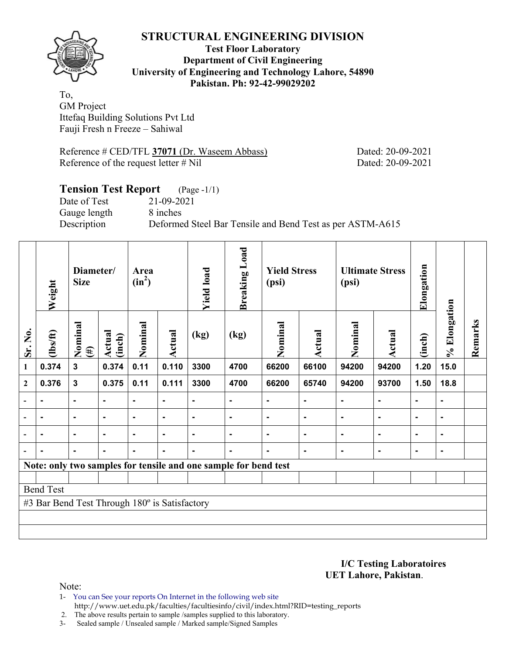

**Test Floor Laboratory Department of Civil Engineering University of Engineering and Technology Lahore, 54890 Pakistan. Ph: 92-42-99029202** 

To, GM Project Ittefaq Building Solutions Pvt Ltd Fauji Fresh n Freeze – Sahiwal

Reference # CED/TFL 37071 (Dr. Waseem Abbass) Dated: 20-09-2021 Reference of the request letter # Nil Dated: 20-09-2021

# **Tension Test Report** (Page -1/1) Date of Test 21-09-2021 Gauge length 8 inches Description Deformed Steel Bar Tensile and Bend Test as per ASTM-A615

|                          | Weight                                        | Diameter/<br><b>Size</b> |                  | Area<br>$(in^2)$ |                | <b>Breaking Load</b><br><b>Yield Stress</b><br><b>Yield load</b><br>(psi) |                                                                 | <b>Ultimate Stress</b><br>(psi) |                | Elongation     |                |                |                |         |
|--------------------------|-----------------------------------------------|--------------------------|------------------|------------------|----------------|---------------------------------------------------------------------------|-----------------------------------------------------------------|---------------------------------|----------------|----------------|----------------|----------------|----------------|---------|
| Sr. No.                  | (lbs/ft)                                      | Nominal<br>$(\#)$        | Actual<br>(inch) | Nominal          | <b>Actual</b>  | (kg)                                                                      | (kg)                                                            | Nominal                         | Actual         | Nominal        | Actual         | (inch)         | % Elongation   | Remarks |
| 1                        | 0.374                                         | $\mathbf{3}$             | 0.374            | 0.11             | 0.110          | 3300                                                                      | 4700                                                            | 66200                           | 66100          | 94200          | 94200          | 1.20           | 15.0           |         |
| $\boldsymbol{2}$         | 0.376                                         | $\mathbf{3}$             | 0.375            | 0.11             | 0.111          | 3300                                                                      | 4700                                                            | 66200                           | 65740          | 94200          | 93700          | 1.50           | 18.8           |         |
| $\overline{\phantom{0}}$ |                                               | $\blacksquare$           | $\blacksquare$   | $\blacksquare$   | $\blacksquare$ | $\blacksquare$                                                            |                                                                 | $\blacksquare$                  | ٠              | $\blacksquare$ | ٠              |                | $\blacksquare$ |         |
| $\overline{\phantom{0}}$ | $\blacksquare$                                | $\blacksquare$           | $\blacksquare$   | $\blacksquare$   | $\blacksquare$ | $\blacksquare$                                                            | $\blacksquare$                                                  | $\blacksquare$                  | $\blacksquare$ | $\blacksquare$ | $\blacksquare$ | $\blacksquare$ | $\blacksquare$ |         |
|                          | ٠                                             | $\blacksquare$           | $\blacksquare$   | $\blacksquare$   | $\blacksquare$ | $\blacksquare$                                                            | $\blacksquare$                                                  | $\blacksquare$                  | $\blacksquare$ | $\blacksquare$ | Ĭ.             | $\blacksquare$ | $\blacksquare$ |         |
|                          |                                               | $\blacksquare$           | $\blacksquare$   | $\blacksquare$   | $\blacksquare$ | $\blacksquare$                                                            | $\blacksquare$                                                  | ۰                               | $\blacksquare$ | $\blacksquare$ | $\blacksquare$ | $\blacksquare$ | $\blacksquare$ |         |
|                          |                                               |                          |                  |                  |                |                                                                           | Note: only two samples for tensile and one sample for bend test |                                 |                |                |                |                |                |         |
|                          |                                               |                          |                  |                  |                |                                                                           |                                                                 |                                 |                |                |                |                |                |         |
|                          | <b>Bend Test</b>                              |                          |                  |                  |                |                                                                           |                                                                 |                                 |                |                |                |                |                |         |
|                          | #3 Bar Bend Test Through 180° is Satisfactory |                          |                  |                  |                |                                                                           |                                                                 |                                 |                |                |                |                |                |         |
|                          |                                               |                          |                  |                  |                |                                                                           |                                                                 |                                 |                |                |                |                |                |         |
|                          |                                               |                          |                  |                  |                |                                                                           |                                                                 |                                 |                |                |                |                |                |         |

**I/C Testing Laboratoires UET Lahore, Pakistan**.

- 1- You can See your reports On Internet in the following web site http://www.uet.edu.pk/faculties/facultiesinfo/civil/index.html?RID=testing\_reports
- 2. The above results pertain to sample /samples supplied to this laboratory.
- 3- Sealed sample / Unsealed sample / Marked sample/Signed Samples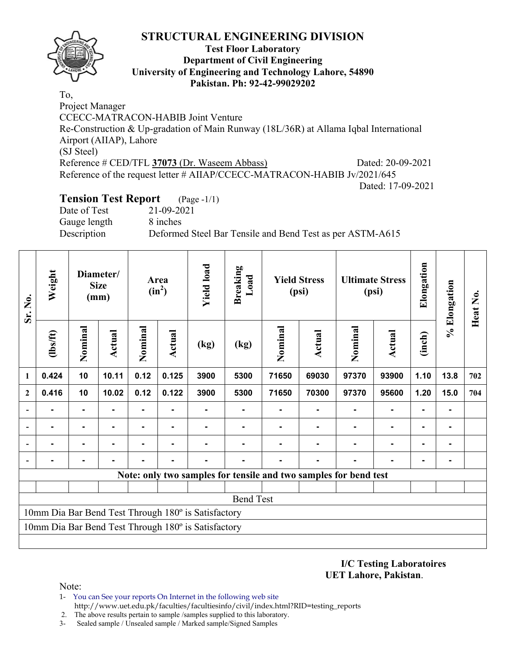

## **Test Floor Laboratory Department of Civil Engineering University of Engineering and Technology Lahore, 54890 Pakistan. Ph: 92-42-99029202**

To, Project Manager CCECC-MATRACON-HABIB Joint Venture Re-Construction & Up-gradation of Main Runway (18L/36R) at Allama Iqbal International Airport (AIIAP), Lahore (SJ Steel) Reference # CED/TFL 37073 (Dr. Waseem Abbass) Dated: 20-09-2021 Reference of the request letter # AIIAP/CCECC-MATRACON-HABIB Jv/2021/645 Dated: 17-09-2021

# **Tension Test Report** (Page -1/1)

Date of Test 21-09-2021 Gauge length 8 inches

Description Deformed Steel Bar Tensile and Bend Test as per ASTM-A615

| Sr. No.                                             | Weight<br>Diameter/<br><b>Size</b><br>(mm) |                |                | Area<br>$(in^2)$ | <b>Yield load</b> | <b>Breaking</b><br>Load                             |                                                                  | <b>Yield Stress</b><br>(psi) |        | <b>Ultimate Stress</b><br>(psi) | Elongation     | % Elongation   | Heat No.       |     |
|-----------------------------------------------------|--------------------------------------------|----------------|----------------|------------------|-------------------|-----------------------------------------------------|------------------------------------------------------------------|------------------------------|--------|---------------------------------|----------------|----------------|----------------|-----|
|                                                     | (1bs/ft)                                   | Nominal        | Actual         | Nominal          | Actual            | (kg)                                                | (kg)                                                             | Nominal                      | Actual | Nominal                         | <b>Actual</b>  | (inch)         |                |     |
| 1                                                   | 0.424                                      | 10             | 10.11          | 0.12             | 0.125             | 3900                                                | 5300                                                             | 71650                        | 69030  | 97370                           | 93900          | 1.10           | 13.8           | 702 |
| $\overline{2}$                                      | 0.416                                      | 10             | 10.02          | 0.12             | 0.122             | 3900                                                | 5300                                                             | 71650                        | 70300  | 97370                           | 95600          | 1.20           | 15.0           | 704 |
| $\blacksquare$                                      | ۰                                          | $\blacksquare$ | $\blacksquare$ | ٠                | $\blacksquare$    |                                                     | ۰                                                                |                              |        |                                 | $\blacksquare$ | $\blacksquare$ | ۰              |     |
|                                                     | $\blacksquare$                             | $\blacksquare$ | $\blacksquare$ | ۰                | $\blacksquare$    |                                                     |                                                                  |                              |        |                                 | $\blacksquare$ | $\blacksquare$ | $\blacksquare$ |     |
|                                                     |                                            |                |                |                  |                   |                                                     |                                                                  |                              |        |                                 |                |                |                |     |
|                                                     |                                            | -              |                |                  |                   |                                                     |                                                                  |                              |        |                                 |                |                |                |     |
|                                                     |                                            |                |                |                  |                   |                                                     | Note: only two samples for tensile and two samples for bend test |                              |        |                                 |                |                |                |     |
|                                                     |                                            |                |                |                  |                   |                                                     |                                                                  |                              |        |                                 |                |                |                |     |
|                                                     |                                            |                |                |                  |                   |                                                     | <b>Bend Test</b>                                                 |                              |        |                                 |                |                |                |     |
| 10mm Dia Bar Bend Test Through 180° is Satisfactory |                                            |                |                |                  |                   |                                                     |                                                                  |                              |        |                                 |                |                |                |     |
|                                                     |                                            |                |                |                  |                   | 10mm Dia Bar Bend Test Through 180° is Satisfactory |                                                                  |                              |        |                                 |                |                |                |     |
|                                                     |                                            |                |                |                  |                   |                                                     |                                                                  |                              |        |                                 |                |                |                |     |

**I/C Testing Laboratoires UET Lahore, Pakistan**.

Note:

- 1- You can See your reports On Internet in the following web site http://www.uet.edu.pk/faculties/facultiesinfo/civil/index.html?RID=testing\_reports
- 2. The above results pertain to sample /samples supplied to this laboratory.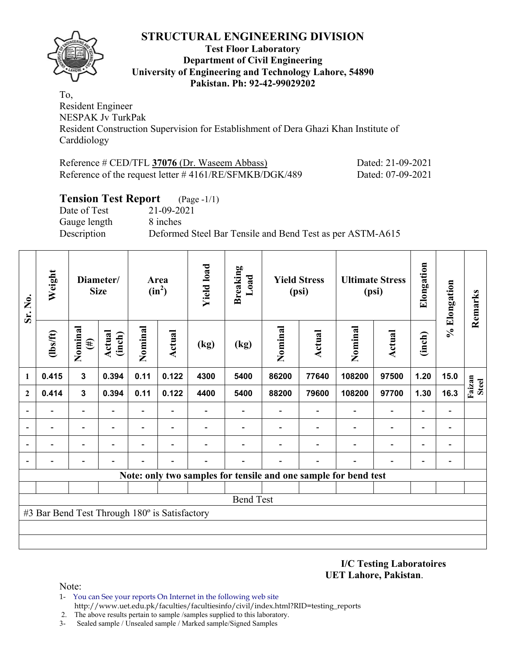

## **Test Floor Laboratory Department of Civil Engineering University of Engineering and Technology Lahore, 54890 Pakistan. Ph: 92-42-99029202**

To, Resident Engineer NESPAK Jv TurkPak Resident Construction Supervision for Establishment of Dera Ghazi Khan Institute of Carddiology

| Reference # CED/TFL 37076 (Dr. Waseem Abbass)             | Dated: 21-09-2021 |
|-----------------------------------------------------------|-------------------|
| Reference of the request letter $\#4161/RE/SFMKB/DGK/489$ | Dated: 07-09-2021 |

# **Tension Test Report** (Page -1/1)

Date of Test 21-09-2021 Gauge length 8 inches

Description Deformed Steel Bar Tensile and Bend Test as per ASTM-A615

| Sr. No.      | Weight                                        |                          | <b>Size</b>      |                          | Diameter/                |      | <b>Yield load</b><br><b>Breaking</b><br>Load<br><b>Yield Stress</b><br>Area<br>$(in^2)$<br>(psi) |         | <b>Ultimate Stress</b><br>(psi) |                                                                 | Elongation               | % Elongation             | Remarks                      |                        |
|--------------|-----------------------------------------------|--------------------------|------------------|--------------------------|--------------------------|------|--------------------------------------------------------------------------------------------------|---------|---------------------------------|-----------------------------------------------------------------|--------------------------|--------------------------|------------------------------|------------------------|
|              | $\frac{2}{10}$                                | Nominal<br>$(\#)$        | Actual<br>(inch) | Nominal                  | <b>Actual</b>            | (kg) | (kg)                                                                                             | Nominal | <b>Actual</b>                   | Nominal                                                         | Actual                   | (inch)                   |                              |                        |
| 1            | 0.415                                         | $\mathbf{3}$             | 0.394            | 0.11                     | 0.122                    | 4300 | 5400                                                                                             | 86200   | 77640                           | 108200                                                          | 97500                    | 1.20                     | 15.0                         |                        |
| $\mathbf{2}$ | 0.414                                         | $\mathbf{3}$             | 0.394            | 0.11                     | 0.122                    | 4400 | 5400                                                                                             | 88200   | 79600                           | 108200                                                          | 97700                    | 1.30                     | 16.3                         | Faizan<br><b>Steel</b> |
|              |                                               | $\overline{\phantom{a}}$ |                  | $\overline{\phantom{0}}$ | $\overline{\phantom{a}}$ |      |                                                                                                  |         |                                 | $\overline{\phantom{0}}$                                        | $\overline{a}$           | $\overline{\phantom{0}}$ | $\qquad \qquad \blacksquare$ |                        |
|              |                                               | $\overline{\phantom{0}}$ |                  | -                        | $\overline{\phantom{a}}$ |      |                                                                                                  |         |                                 |                                                                 | $\overline{\phantom{0}}$ | $\overline{\phantom{0}}$ | -                            |                        |
|              |                                               | $\overline{\phantom{0}}$ |                  |                          | $\overline{\phantom{0}}$ |      |                                                                                                  |         |                                 |                                                                 | $\blacksquare$           | $\overline{\phantom{0}}$ | $\qquad \qquad \blacksquare$ |                        |
|              |                                               |                          |                  |                          |                          |      |                                                                                                  |         |                                 |                                                                 |                          |                          | -                            |                        |
|              |                                               |                          |                  |                          |                          |      |                                                                                                  |         |                                 | Note: only two samples for tensile and one sample for bend test |                          |                          |                              |                        |
|              |                                               |                          |                  |                          |                          |      |                                                                                                  |         |                                 |                                                                 |                          |                          |                              |                        |
|              |                                               |                          |                  |                          |                          |      | <b>Bend Test</b>                                                                                 |         |                                 |                                                                 |                          |                          |                              |                        |
|              | #3 Bar Bend Test Through 180° is Satisfactory |                          |                  |                          |                          |      |                                                                                                  |         |                                 |                                                                 |                          |                          |                              |                        |
|              |                                               |                          |                  |                          |                          |      |                                                                                                  |         |                                 |                                                                 |                          |                          |                              |                        |
|              |                                               |                          |                  |                          |                          |      |                                                                                                  |         |                                 |                                                                 |                          |                          |                              |                        |

**I/C Testing Laboratoires UET Lahore, Pakistan**.

Note:

1- You can See your reports On Internet in the following web site http://www.uet.edu.pk/faculties/facultiesinfo/civil/index.html?RID=testing\_reports

2. The above results pertain to sample /samples supplied to this laboratory.